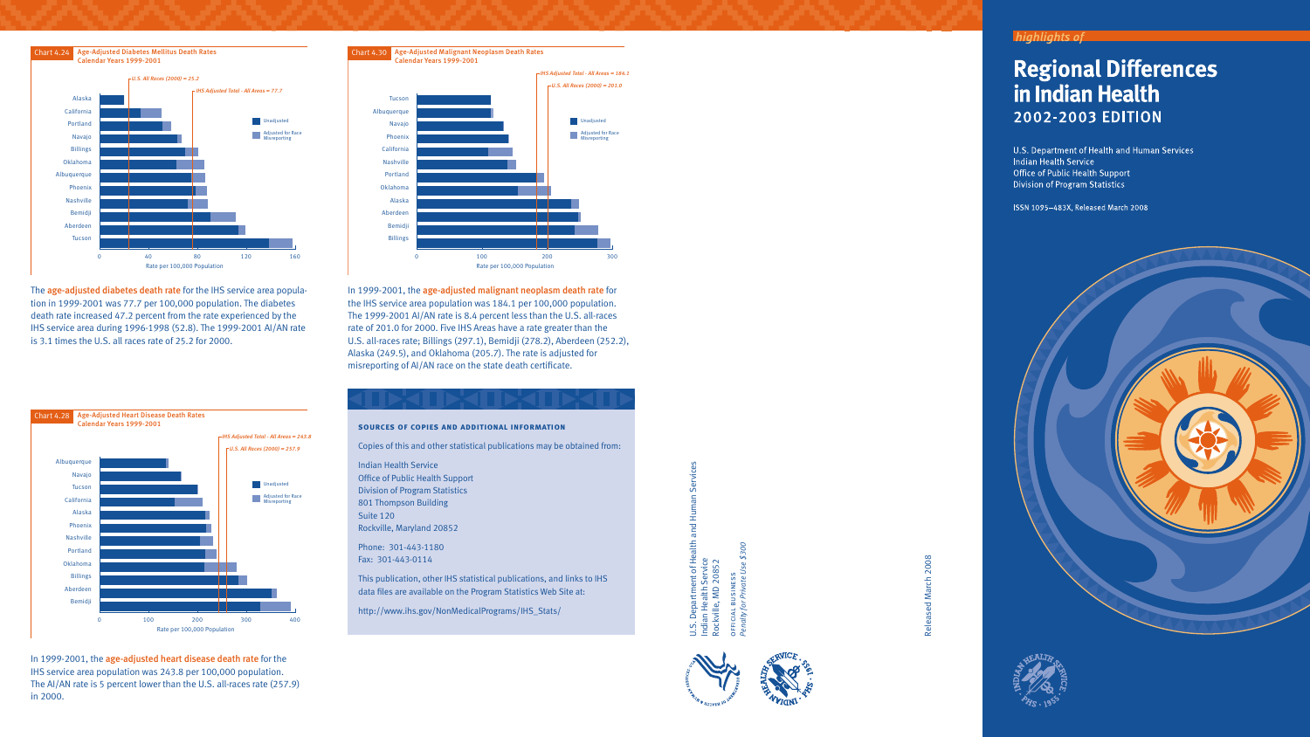





The age-adjusted diabetes death rate for the IHS service area population in 1999-2001 was 77.7 per 100,000 population. The diabetes death rate increased 47.2 percent from the rate experienced by the IHS service area during 1996-1998 (52.8). The 1999-2001 AI/AN rate is 3.1 times the U.S. all races rate of 25.2 for 2000.

In 1999-2001, the age-adjusted heart disease death rate for the IHS service area population was 243.8 per 100,000 population. The AI/AN rate is 5 percent lower than the U.S. all-races rate (257.9) in 2000.

In 1999-2001, the age-adjusted malignant neoplasm death rate for the IHS service area population was 184.1 per 100,000 population. The 1999-2001 AI/AN rate is 8.4 percent less than the U.S. all-races rate of 201.0 for 2000. Five IHS Areas have a rate greater than the U.S. all-races rate; Billings (297.1), Bemidji (278.2), Aberdeen (252.2), Alaska (249.5), and Oklahoma (205.7). The rate is adjusted for misreporting of AI/AN race on the state death certificate.

## **sources of copies and additional information**

Copies of this and other statistical publications may be obtained from:

Indian Health Service Office of Public Health Support Division of Program Statistics 801 Thompson Building Suite 120 Rockville, Maryland 20852

Phone: 301-443-1180 Fax: 301-443-0114

This publication, other IHS statistical publications, and links to IHS data files are available on the Program Statistics Web Site at:

http://www.ihs.gov/NonMedicalPrograms/IHS\_Stats/

Health and Human Services ŭ  $\Xi$ Ē 흐 alth *se \$300* U.S. Department of H<br>Indian Health Service<br>Rockville, MD 20852 s *e U* s e *at* n*v* is  *Pri* u b  *for* l a i *lty* c fi*ena* f*P*—



2008 Released March 2008 Released March

## **Regional Differences** in Indian Health **2002-2003 EDITION**

U.S. Department of Health and Human Services Indian Health Service Office of Public Health Support **Division of Program Statistics** 

ISSN 1095-483X, Released March 2008